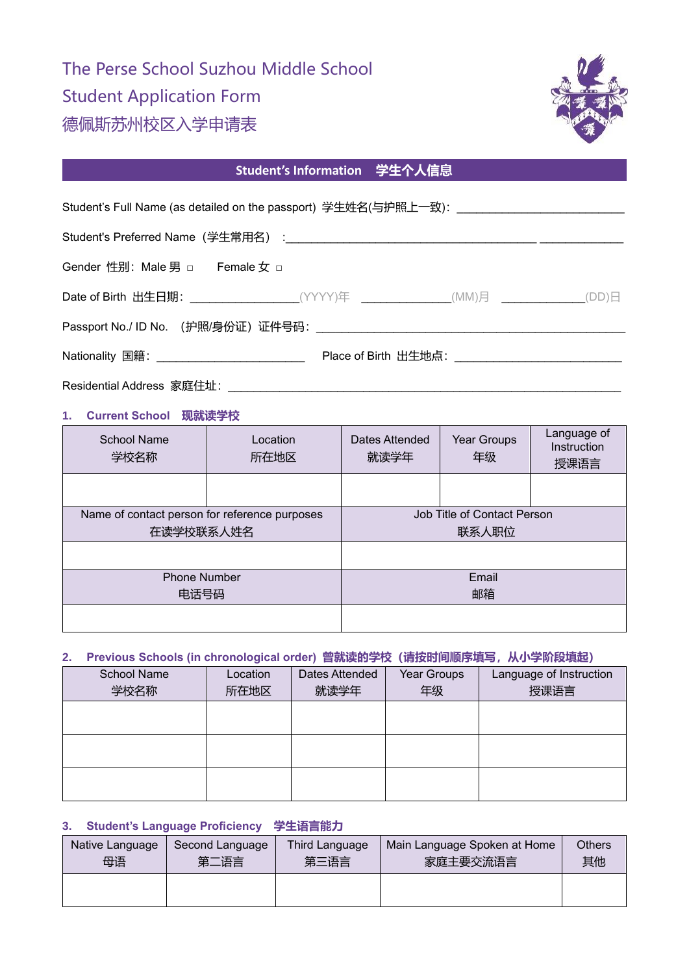# The Perse School Suzhou Middle School Student Application Form 德佩斯苏州校区入学申请表



## **Student's Information 学生个人信息**

|                                | Student's Full Name (as detailed on the passport) 学生姓名(与护照上一致): _________________      |
|--------------------------------|----------------------------------------------------------------------------------------|
|                                |                                                                                        |
| Gender 性别: Male 男 □ Female 女 □ |                                                                                        |
|                                | Date of Birth 出生日期: _____________________(YYYY)年 ______________(MM)月 ____________(DD)日 |
|                                |                                                                                        |
|                                |                                                                                        |
|                                |                                                                                        |

#### **1. Current School 现就读学校**

| School Name<br>学校名称                                        | Location<br>所在地区 | Dates Attended<br>就读学年               | Year Groups<br>年级 | Language of<br>Instruction<br>授课语言 |
|------------------------------------------------------------|------------------|--------------------------------------|-------------------|------------------------------------|
|                                                            |                  |                                      |                   |                                    |
| Name of contact person for reference purposes<br>在读学校联系人姓名 |                  | Job Title of Contact Person<br>联系人职位 |                   |                                    |
|                                                            |                  |                                      |                   |                                    |
| <b>Phone Number</b><br>电话号码                                |                  | Email<br>邮箱                          |                   |                                    |
|                                                            |                  |                                      |                   |                                    |

#### **2. Previous Schools (in chronological order) 曾就读的学校(请按时间顺序填写,从小学阶段填起)**

| <b>School Name</b> | Location | Dates Attended | Year Groups | Language of Instruction |
|--------------------|----------|----------------|-------------|-------------------------|
| 学校名称               | 所在地区     | 就读学年           | 年级          | 授课语言                    |
|                    |          |                |             |                         |
|                    |          |                |             |                         |
|                    |          |                |             |                         |
|                    |          |                |             |                         |
|                    |          |                |             |                         |
|                    |          |                |             |                         |

#### **3. Student's Language Proficiency 学生语言能力**

| Native Language | Second Language | Third Language | Main Language Spoken at Home | <b>Others</b> |
|-----------------|-----------------|----------------|------------------------------|---------------|
| 母语              | 第二语言            | 第三语言           | 家庭主要交流语言                     | 其他            |
|                 |                 |                |                              |               |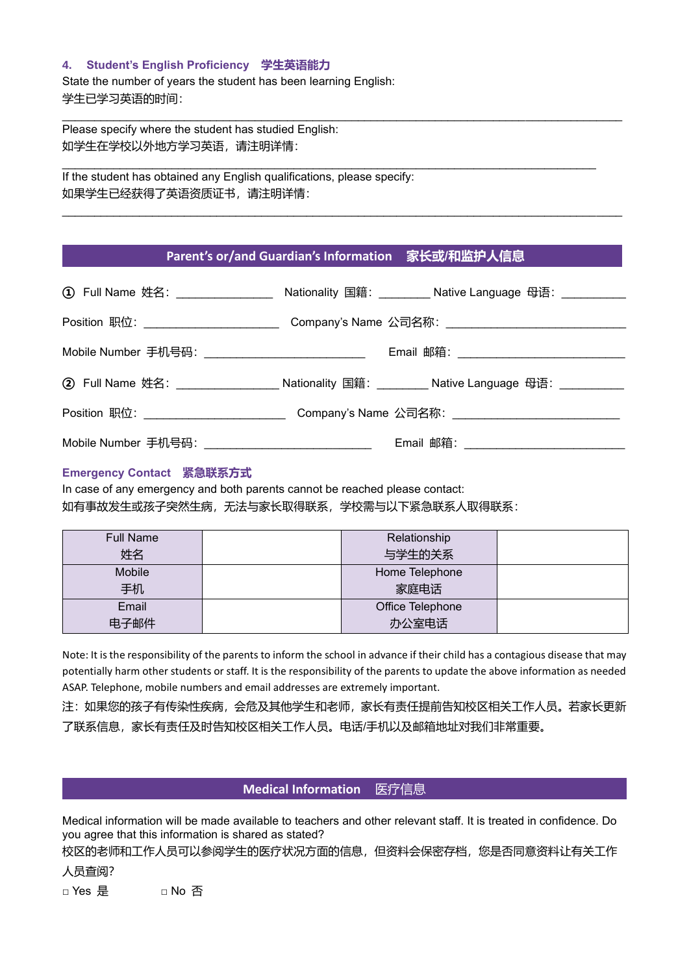#### **4. Student's English Proficiency 学生英语能力**

State the number of years the student has been learning English: 学生已学习英语的时间:

Please specify where the student has studied English: 如学生在学校以外地方学习英语,请注明详情:

If the student has obtained any English qualifications, please specify: 如果学生已经获得了英语资质证书,请注明详情:

#### **Parent's or/and Guardian's Information 家长或/和监护人信息**

\_\_\_\_\_\_\_\_\_\_\_\_\_\_\_\_\_\_\_\_\_\_\_\_\_\_\_\_\_\_\_\_\_\_\_\_\_\_\_\_\_\_\_\_\_\_\_\_\_\_\_\_\_\_\_\_\_\_\_\_\_\_\_\_\_\_\_\_\_\_\_\_\_\_\_\_\_\_\_\_\_\_\_\_\_\_\_

|                                                     | ① Full Name 姓名: __________________ Nationality 国籍: ________ Native Language 母语: __________ |
|-----------------------------------------------------|--------------------------------------------------------------------------------------------|
| Position 职位: _________________________              | Company's Name 公司名称: _______________________                                               |
| Mobile Number 手机号码: _______________________________ | Email 邮箱: __________________________                                                       |
|                                                     | 2 Full Name 姓名: __________________Nationality 国籍: _________Native Language 母语: _________   |
| Position 职位: _________________________              | Company's Name 公司名称: ____________________________                                          |
| Mobile Number 手机号码:                                 | Email 邮箱:                                                                                  |

#### **Emergency Contact 紧急联系方式**

In case of any emergency and both parents cannot be reached please contact: 如有事故发生或孩子突然生病,无法与家长取得联系,学校需与以下紧急联系人取得联系:

| <b>Full Name</b> | Relationship     |  |
|------------------|------------------|--|
| 姓名               | 与学生的关系           |  |
| Mobile           | Home Telephone   |  |
| 手机               | 家庭电话             |  |
| Email            | Office Telephone |  |
| 电子邮件             | 办公室电话            |  |

Note: It is the responsibility of the parents to inform the school in advance if their child has a contagious disease that may potentially harm other students or staff. It is the responsibility of the parents to update the above information as needed ASAP. Telephone, mobile numbers and email addresses are extremely important.

注:如果您的孩子有传染性疾病,会危及其他学生和老师,家长有责任提前告知校区相关工作人员。若家长更新 了联系信息,家长有责任及时告知校区相关工作人员。电话/手机以及邮箱地址对我们非常重要。

#### **Medical Information** 医疗信息

Medical information will be made available to teachers and other relevant staff. It is treated in confidence. Do you agree that this information is shared as stated?

校区的老师和工作人员可以参阅学生的医疗状况方面的信息,但资料会保密存档,您是否同意资料让有关工作

人员查阅?

□ Yes 是 □ No 否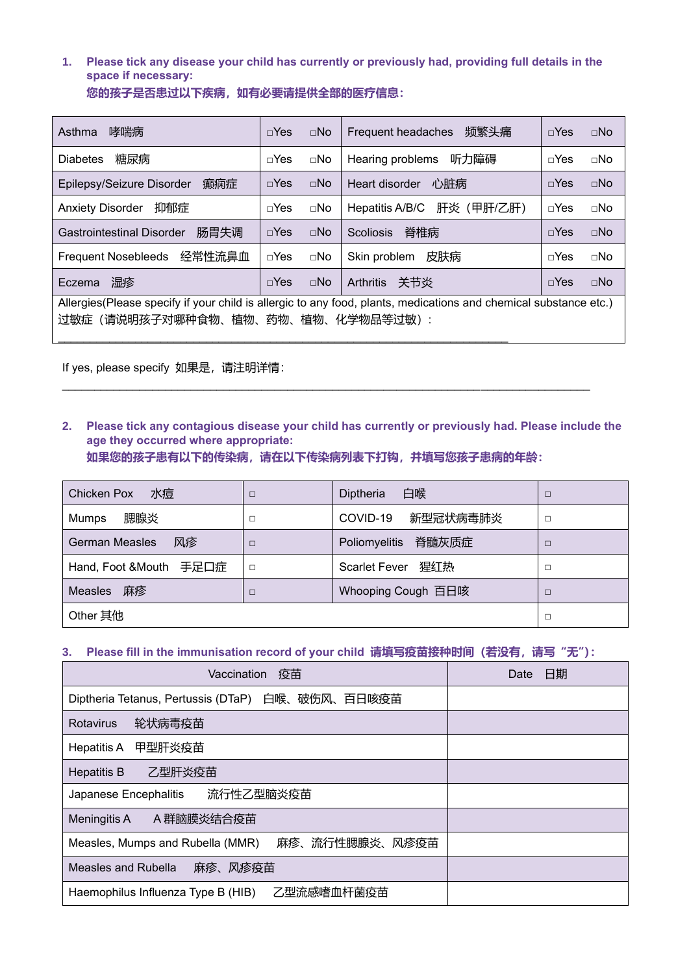### **1. Please tick any disease your child has currently or previously had, providing full details in the space if necessary:**

| 您的孩子是否患过以下疾病,如有必要请提供全部的医疗信息: |  |
|------------------------------|--|
|------------------------------|--|

| 哮喘病<br>Asthma                                                                                                                                               | $\neg$ Yes   | $\Box$ No    | 频繁头痛<br>Frequent headaches    | $\neg$ Yes   | $\Box$ No    |
|-------------------------------------------------------------------------------------------------------------------------------------------------------------|--------------|--------------|-------------------------------|--------------|--------------|
| 糖尿病<br><b>Diabetes</b>                                                                                                                                      | $\sqcap$ Yes | $\square$ No | 听力障碍<br>Hearing problems      | $\sqcap$ Yes | $\sqcap$ No  |
| 癫痫症<br>Epilepsy/Seizure Disorder                                                                                                                            | $\sqcap$ Yes | $\Box$ No    | 心脏病<br>Heart disorder         | $\neg$ Yes   | $\Box$ No    |
| 抑郁症<br><b>Anxiety Disorder</b>                                                                                                                              | $\sqcap$ Yes | $\square$ No | 肝炎 (甲肝/乙肝)<br>Hepatitis A/B/C | $\neg$ Yes   | $\square$ No |
| 肠胃失调<br><b>Gastrointestinal Disorder</b>                                                                                                                    | $\sqcap$ Yes | $\Box$ No    | 脊椎病<br><b>Scoliosis</b>       | $\neg$ Yes   | $\Box$ No    |
| Frequent Nosebleeds 经常性流鼻血                                                                                                                                  | $\sqcap$ Yes | $\square$ No | 皮肤病<br>Skin problem           | $\neg$ Yes   | $\sqcap$ No  |
| 湿疹<br>Eczema                                                                                                                                                | $\neg$ Yes   | $\Box$ No    | 关节炎<br><b>Arthritis</b>       | $\sqcap$ Yes | $\Box$ No    |
| Allergies (Please specify if your child is allergic to any food, plants, medications and chemical substance etc.)<br>(请说明孩子对哪种食物、植物、药物、植物、化学物品等过敏) :<br>过敏症 |              |              |                               |              |              |

If yes, please specify 如果是, 请注明详情:

### **2. Please tick any contagious disease your child has currently or previously had. Please include the age they occurred where appropriate:**

**如果您的孩子患有以下的传染病,请在以下传染病列表下打钩,并填写您孩子患病的年龄:**

\_\_\_\_\_\_\_\_\_\_\_\_\_\_\_\_\_\_\_\_\_\_\_\_\_\_\_\_\_\_\_\_\_\_\_\_\_\_\_\_\_\_\_\_\_\_\_\_\_\_\_\_\_\_\_\_\_\_\_\_\_\_\_\_\_\_\_\_\_\_\_\_\_\_\_\_\_\_\_\_\_\_

| 水痘<br>Chicken Pox           | □      | 白喉<br>Diptheria             | □ |
|-----------------------------|--------|-----------------------------|---|
| 腮腺炎<br>Mumps                | □      | 新型冠状病毒肺炎<br>COVID-19        |   |
| 风疹<br><b>German Measles</b> | □      | 脊髓灰质症<br>Poliomyelitis      | □ |
| Hand, Foot &Mouth 手足口症      | $\Box$ | 猩红热<br><b>Scarlet Fever</b> | п |
| 麻疹<br><b>Measles</b>        | П      | Whooping Cough 百日咳          | П |
| Other 其他                    |        |                             |   |

### **3. Please fill in the immunisation record of your child 请填写疫苗接种时间(若没有,请写"无"):**

| Vaccination 疫苗                                     | 日期<br>Date |
|----------------------------------------------------|------------|
| Diptheria Tetanus, Pertussis (DTaP) 白喉、破伤风、百日咳疫苗   |            |
| 轮状病毒疫苗<br><b>Rotavirus</b>                         |            |
| 甲型肝炎疫苗<br>Hepatitis A                              |            |
| 乙型肝炎疫苗<br><b>Hepatitis B</b>                       |            |
| 流行性乙型脑炎疫苗<br>Japanese Encephalitis                 |            |
| A 群脑膜炎结合疫苗<br>Meningitis A                         |            |
| 麻疹、流行性腮腺炎、风疹疫苗<br>Measles, Mumps and Rubella (MMR) |            |
| 麻疹、风疹疫苗<br>Measles and Rubella                     |            |
| 乙型流感嗜血杆菌疫苗<br>Haemophilus Influenza Type B (HIB)   |            |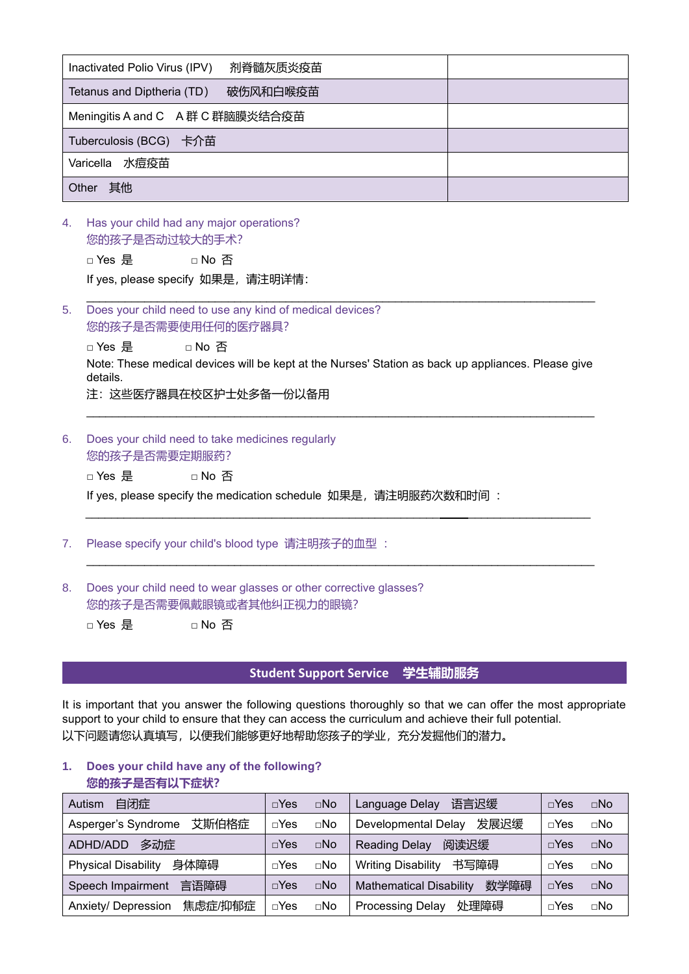| 剂脊髓灰质炎疫苗<br>Inactivated Polio Virus (IPV) |  |  |  |
|-------------------------------------------|--|--|--|
| 破伤风和白喉疫苗<br>Tetanus and Diptheria (TD)    |  |  |  |
| Meningitis A and C A 群 C 群脑膜炎结合疫苗         |  |  |  |
| Tuberculosis (BCG) 卡介苗                    |  |  |  |
| Varicella 水痘疫苗                            |  |  |  |
| 其他<br>Other                               |  |  |  |

4. Has your child had any major operations? 您的孩子是否动过较大的手术?

□ Yes 是 □ No 否

If yes, please specify 如果是, 请注明详情:

\_\_\_\_\_\_\_\_\_\_\_\_\_\_\_\_\_\_\_\_\_\_\_\_\_\_\_\_\_\_\_\_\_\_\_\_\_\_\_\_\_\_\_\_\_\_\_\_\_\_\_\_\_\_\_\_\_\_\_\_\_\_\_\_\_\_\_\_\_\_\_\_\_\_\_\_\_\_\_ 5. Does your child need to use any kind of medical devices? 您的孩子是否需要使用任何的医疗器具?

□ Yes 是 □ No 否 Note: These medical devices will be kept at the Nurses' Station as back up appliances. Please give details.

注:这些医疗器具在校区护士处多备一份以备用

- 6. Does your child need to take medicines regularly 您的孩子是否需要定期服药?
	- □ Yes 是 □ No 否

If yes, please specify the medication schedule 如果是, 请注明服药次数和时间:

\_\_\_\_\_\_\_\_\_\_\_\_\_\_\_\_\_\_\_\_\_\_\_\_\_\_\_\_\_\_\_\_\_\_\_\_\_\_\_\_\_\_\_\_\_\_\_\_\_\_\_\_\_\_\_ \_\_\_\_\_\_\_\_\_\_\_\_\_\_\_\_\_\_\_

 $\mathcal{L}_\mathcal{L} = \{ \mathcal{L}_\mathcal{L} = \{ \mathcal{L}_\mathcal{L} = \{ \mathcal{L}_\mathcal{L} = \{ \mathcal{L}_\mathcal{L} = \{ \mathcal{L}_\mathcal{L} = \{ \mathcal{L}_\mathcal{L} = \{ \mathcal{L}_\mathcal{L} = \{ \mathcal{L}_\mathcal{L} = \{ \mathcal{L}_\mathcal{L} = \{ \mathcal{L}_\mathcal{L} = \{ \mathcal{L}_\mathcal{L} = \{ \mathcal{L}_\mathcal{L} = \{ \mathcal{L}_\mathcal{L} = \{ \mathcal{L}_\mathcal{$ 

- 7. Please specify your child's blood type 请注明孩子的血型 :
- 8. Does your child need to wear glasses or other corrective glasses? 您的孩子是否需要佩戴眼镜或者其他纠正视力的眼镜?

□ Yes 是 □ No 否

#### **Student Support Service 学生辅助服务**

It is important that you answer the following questions thoroughly so that we can offer the most appropriate support to your child to ensure that they can access the curriculum and achieve their full potential. 以下问题请您认真填写,以便我们能够更好地帮助您孩子的学业,充分发掘他们的潜力。

#### **1. Does your child have any of the following? 您的孩子是否有以下症状?**

| 自闭症<br>Autism                      | $\neg$ Yes | $\square$ No | 语言迟缓<br>Language Delay                 | $\sqcap$ Yes | $\Box$ No   |
|------------------------------------|------------|--------------|----------------------------------------|--------------|-------------|
| 艾斯伯格症<br>Asperger's Syndrome       | $\neg$ Yes | $\sqcap$ No  | 发展迟缓<br><b>Developmental Delay</b>     | $\sqcap$ Yes | $\sqcap$ No |
| 多动症<br>ADHD/ADD                    | $\neg$ Yes | $\sqcap$ No  | 阅读迟缓<br><b>Reading Delay</b>           | $\sqcap$ Yes | $\Box$ No   |
| 身体障碍<br><b>Physical Disability</b> | $\neg$ Yes | $\sqcap$ No  | 书写障碍<br><b>Writing Disability</b>      | $\sqcap$ Yes | $\sqcap$ No |
| 言语障碍<br>Speech Impairment          | $\neg$ Yes | $\Box$ No    | 数学障碍<br><b>Mathematical Disability</b> | $\sqcap$ Yes | $\Box$ No   |
| 焦虑症/抑郁症<br>Anxiety/ Depression     | $\neg$ Yes | $\sqcap$ No  | <b>Processing Delay</b><br>处理障碍        | $\sqcap$ Yes | $\sqcap$ No |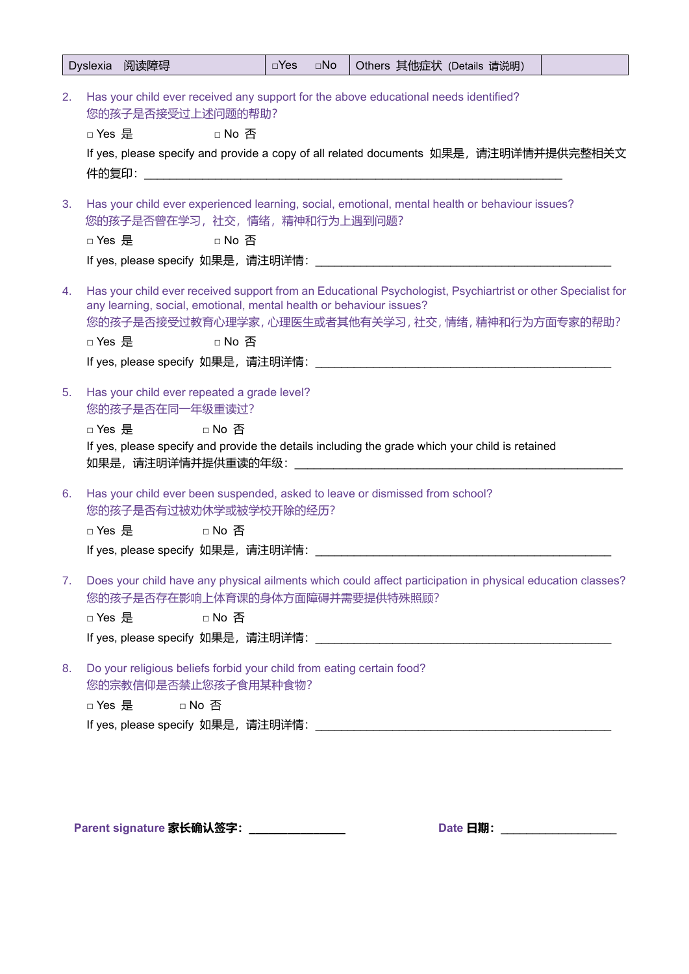|    |                                                                                                                                                                                                                         | Dyslexia 阅读障碍                                                                        |        | $\square$ Yes | $\square$ No | Others 其他症状 (Details 请说明)                                                                                                                                                                                                               |  |  |
|----|-------------------------------------------------------------------------------------------------------------------------------------------------------------------------------------------------------------------------|--------------------------------------------------------------------------------------|--------|---------------|--------------|-----------------------------------------------------------------------------------------------------------------------------------------------------------------------------------------------------------------------------------------|--|--|
| 2. | Has your child ever received any support for the above educational needs identified?<br>您的孩子是否接受过上述问题的帮助?<br>□ Yes 是<br>□ No 否<br>If yes, please specify and provide a copy of all related documents  如果是,请注明详情并提供完整相关文 |                                                                                      |        |               |              |                                                                                                                                                                                                                                         |  |  |
| 3. |                                                                                                                                                                                                                         | 您的孩子是否曾在学习,社交,情绪,精神和行为上遇到问题?<br>□ Yes 是                                              | □ No 否 |               |              | Has your child ever experienced learning, social, emotional, mental health or behaviour issues?                                                                                                                                         |  |  |
| 4. | □ Yes 是                                                                                                                                                                                                                 |                                                                                      | □ No 否 |               |              | Has your child ever received support from an Educational Psychologist, Psychiartrist or other Specialist for<br>any learning, social, emotional, mental health or behaviour issues?<br>您的孩子是否接受过教育心理学家,心理医生或者其他有关学习,社交,情绪,精神和行为方面专家的帮助? |  |  |
| 5. |                                                                                                                                                                                                                         | Has your child ever repeated a grade level?<br>您的孩子是否在同一年级重读过?<br>□ Yes 是     □ No 否 |        |               |              | If yes, please specify and provide the details including the grade which your child is retained                                                                                                                                         |  |  |
| 6. |                                                                                                                                                                                                                         | 您的孩子是否有过被劝休学或被学校开除的经历?<br>□ Yes 是      □ No 否                                        |        |               |              | Has your child ever been suspended, asked to leave or dismissed from school?                                                                                                                                                            |  |  |
| 7. | Does your child have any physical ailments which could affect participation in physical education classes?<br>您的孩子是否存在影响上体育课的身体方面障碍并需要提供特殊照顾?<br>□ No 否<br>□ Yes 是                                                      |                                                                                      |        |               |              |                                                                                                                                                                                                                                         |  |  |
| 8. |                                                                                                                                                                                                                         | 您的宗教信仰是否禁止您孩子食用某种食物?<br>□ Yes 是                                                      | □ No 否 |               |              | Do your religious beliefs forbid your child from eating certain food?                                                                                                                                                                   |  |  |

**Parent signature 家长确认签字: \_\_\_\_\_\_\_\_\_\_\_\_\_\_\_\_\_\_ Date 日期: \_\_\_\_\_\_\_\_\_\_\_\_\_\_\_\_\_\_\_**